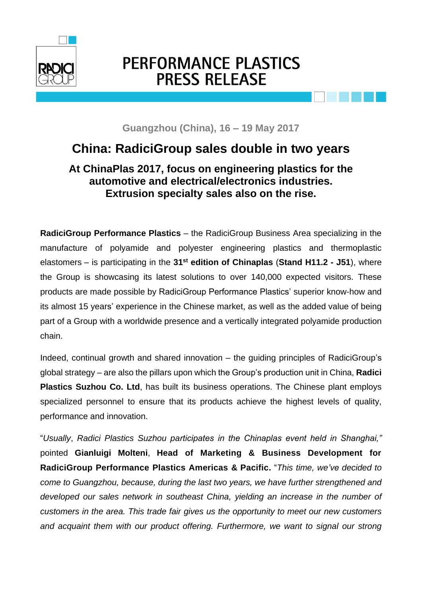

## PERFORMANCE PLASTICS **PRESS RELEASE**



**Guangzhou (China), 16 – 19 May 2017**

## **China: RadiciGroup sales double in two years**

## **At ChinaPlas 2017, focus on engineering plastics for the automotive and electrical/electronics industries. Extrusion specialty sales also on the rise.**

**RadiciGroup Performance Plastics** – the RadiciGroup Business Area specializing in the manufacture of polyamide and polyester engineering plastics and thermoplastic elastomers – is participating in the **31st edition of Chinaplas** (**Stand H11.2 - J51**), where the Group is showcasing its latest solutions to over 140,000 expected visitors. These products are made possible by RadiciGroup Performance Plastics' superior know-how and its almost 15 years' experience in the Chinese market, as well as the added value of being part of a Group with a worldwide presence and a vertically integrated polyamide production chain.

Indeed, continual growth and shared innovation – the guiding principles of RadiciGroup's global strategy – are also the pillars upon which the Group's production unit in China, **Radici Plastics Suzhou Co. Ltd**, has built its business operations. The Chinese plant employs specialized personnel to ensure that its products achieve the highest levels of quality, performance and innovation.

"*Usually*, *Radici Plastics Suzhou participates in the Chinaplas event held in Shanghai,"*  pointed **Gianluigi Molteni**, **Head of Marketing & Business Development for RadiciGroup Performance Plastics Americas & Pacific.** "*This time, we've decided to come to Guangzhou, because, during the last two years, we have further strengthened and developed our sales network in southeast China, yielding an increase in the number of customers in the area. This trade fair gives us the opportunity to meet our new customers and acquaint them with our product offering. Furthermore, we want to signal our strong*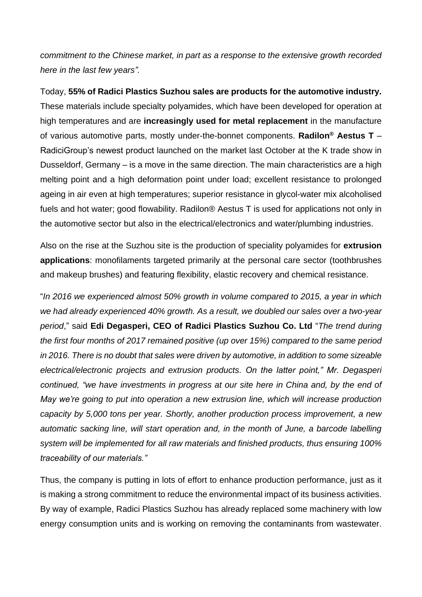*commitment to the Chinese market, in part as a response to the extensive growth recorded here in the last few years".* 

Today, **55% of Radici Plastics Suzhou sales are products for the automotive industry.**  These materials include specialty polyamides, which have been developed for operation at high temperatures and are **increasingly used for metal replacement** in the manufacture of various automotive parts, mostly under-the-bonnet components. **Radilon® Aestus T** – RadiciGroup's newest product launched on the market last October at the K trade show in Dusseldorf, Germany – is a move in the same direction. The main characteristics are a high melting point and a high deformation point under load; excellent resistance to prolonged ageing in air even at high temperatures; superior resistance in glycol-water mix alcoholised fuels and hot water; good flowability. Radilon® Aestus T is used for applications not only in the automotive sector but also in the electrical/electronics and water/plumbing industries.

Also on the rise at the Suzhou site is the production of speciality polyamides for **extrusion applications**: monofilaments targeted primarily at the personal care sector (toothbrushes and makeup brushes) and featuring flexibility, elastic recovery and chemical resistance.

"*In 2016 we experienced almost 50% growth in volume compared to 2015, a year in which we had already experienced 40% growth. As a result, we doubled our sales over a two-year period*," said **Edi Degasperi, CEO of Radici Plastics Suzhou Co. Ltd** "*The trend during the first four months of 2017 remained positive (up over 15%) compared to the same period in 2016. There is no doubt that sales were driven by automotive, in addition to some sizeable electrical/electronic projects and extrusion products. On the latter point," Mr. Degasperi continued, "we have investments in progress at our site here in China and, by the end of May we're going to put into operation a new extrusion line, which will increase production capacity by 5,000 tons per year. Shortly, another production process improvement, a new automatic sacking line, will start operation and, in the month of June, a barcode labelling system will be implemented for all raw materials and finished products, thus ensuring 100% traceability of our materials."*

Thus, the company is putting in lots of effort to enhance production performance, just as it is making a strong commitment to reduce the environmental impact of its business activities. By way of example, Radici Plastics Suzhou has already replaced some machinery with low energy consumption units and is working on removing the contaminants from wastewater.